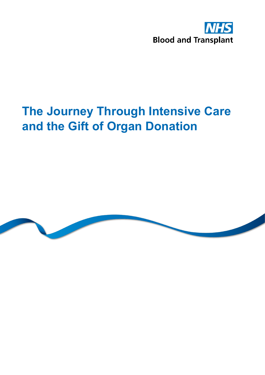

# **The Journey Through Intensive Care and the Gift of Organ Donation**

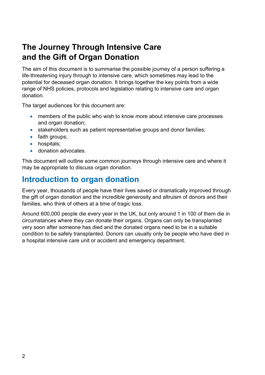## **The Journey Through Intensive Care and the Gift of Organ Donation**

The aim of this document is to summarise the possible journey of a person suffering a life-threatening injury through to intensive care, which sometimes may lead to the potential for deceased organ donation. It brings together the key points from a wide range of NHS policies, protocols and legislation relating to intensive care and organ donation.

The target audiences for this document are:

- members of the public who wish to know more about intensive care processes and organ donation;
- stakeholders such as patient representative groups and donor families:
- faith groups;
- hospitals;
- donation advocates

This document will outline some common journeys through intensive care and where it may be appropriate to discuss organ donation.

## **Introduction to organ donation**

Every year, thousands of people have their lives saved or dramatically improved through the gift of organ donation and the incredible generosity and altruism of donors and their families, who think of others at a time of tragic loss.

Around 600,000 people die every year in the UK, but only around 1 in 100 of them die in circumstances where they can donate their organs. Organs can only be transplanted very soon after someone has died and the donated organs need to be in a suitable condition to be safely transplanted. Donors can usually only be people who have died in a hospital intensive care unit or accident and emergency department.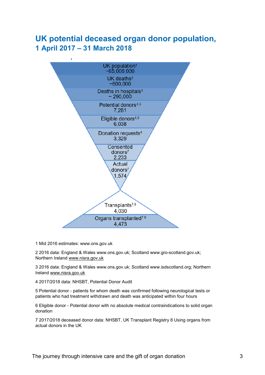#### **UK potential deceased organ donor population, 1 April 2017 – 31 March 2018**



1 1 Mid 2016 estimates: www.ons.gov.uk

2 2016 data: England & Wales www.ons.gov.uk; Scotland www.gro-scotland.gov.uk; Northern Ireland [www.nisra.gov.uk](http://www.nisra.gov.uk/)

3 2016 data: England & Wales www.ons.gov.uk; Scotland www.isdscotland.org; Northern Ireland [www.nisra.gov.uk](http://www.nisra.gov.uk/)

4 2017/2018 data: NHSBT, Potential Donor Audit

5 Potential donor - patients for whom death was confirmed following neurological tests or patients who had treatment withdrawn and death was anticipated within four hours

6 Eligible donor - Potential donor with no absolute medical contraindications to solid organ donation

7 2017/2018 deceased donor data: NHSBT, UK Transplant Registry 8 Using organs from actual donors in the UK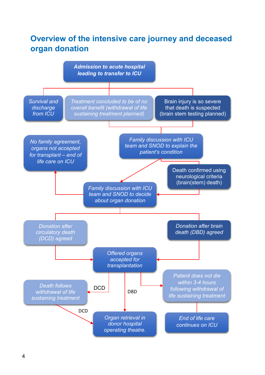## **Overview of the intensive care journey and deceased organ donation**

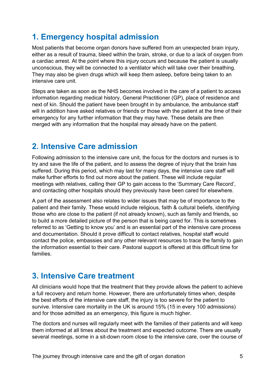## **1. Emergency hospital admission**

Most patients that become organ donors have suffered from an unexpected brain injury, either as a result of trauma, bleed within the brain, stroke, or due to a lack of oxygen from a cardiac arrest. At the point where this injury occurs and because the patient is usually unconscious, they will be connected to a ventilator which will take over their breathing. They may also be given drugs which will keep them asleep, before being taken to an intensive care unit.

Steps are taken as soon as the NHS becomes involved in the care of a patient to access information regarding medical history, General Practitioner (GP), place of residence and next of kin. Should the patient have been brought in by ambulance, the ambulance staff will in addition have asked relatives or friends or those with the patient at the time of their emergency for any further information that they may have. These details are then merged with any information that the hospital may already have on the patient.

#### **2. Intensive Care admission**

Following admission to the intensive care unit, the focus for the doctors and nurses is to try and save the life of the patient, and to assess the degree of injury that the brain has suffered. During this period, which may last for many days, the intensive care staff will make further efforts to find out more about the patient. These will include regular meetings with relatives, calling their GP to gain access to the 'Summary Care Record', and contacting other hospitals should they previously have been cared for elsewhere.

A part of the assessment also relates to wider issues that may be of importance to the patient and their family. These would include religious, faith & cultural beliefs, identifying those who are close to the patient (if not already known), such as family and friends, so to build a more detailed picture of the person that is being cared for. This is sometimes referred to as 'Getting to know you' and is an essential part of the intensive care process and documentation. Should it prove difficult to contact relatives, hospital staff would contact the police, embassies and any other relevant resources to trace the family to gain the information essential to their care. Pastoral support is offered at this difficult time for families.

#### **3. Intensive Care treatment**

All clinicians would hope that the treatment that they provide allows the patient to achieve a full recovery and return home. However, there are unfortunately times when, despite the best efforts of the intensive care staff, the injury is too severe for the patient to survive. Intensive care mortality in the UK is around 15% (15 in every 100 admissions) and for those admitted as an emergency, this figure is much higher.

The doctors and nurses will regularly meet with the families of their patients and will keep them informed at all times about the treatment and expected outcome. There are usually several meetings, some in a sit-down room close to the intensive care, over the course of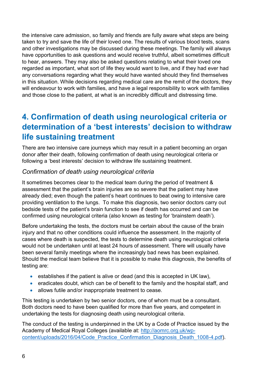the intensive care admission, so family and friends are fully aware what steps are being taken to try and save the life of their loved one. The results of various blood tests, scans and other investigations may be discussed during these meetings. The family will always have opportunities to ask questions and would receive truthful, albeit sometimes difficult to hear, answers. They may also be asked questions relating to what their loved one regarded as important, what sort of life they would want to live, and if they had ever had any conversations regarding what they would have wanted should they find themselves in this situation. While decisions regarding medical care are the remit of the doctors, they will endeavour to work with families, and have a legal responsibility to work with families and those close to the patient, at what is an incredibly difficult and distressing time.

## **4. Confirmation of death using neurological criteria or determination of a 'best interests' decision to withdraw life sustaining treatment**

There are two intensive care journeys which may result in a patient becoming an organ donor after their death, following confirmation of death using neurological criteria or following a 'best interests' decision to withdraw life sustaining treatment.

#### *Confirmation of death using neurological criteria*

It sometimes becomes clear to the medical team during the period of treatment & assessment that the patient's brain injuries are so severe that the patient may have already died; even though the patient's heart continues to beat owing to intensive care providing ventilation to the lungs. To make this diagnosis, two senior doctors carry out bedside tests of the patient's brain function to see if death has occurred and can be confirmed using neurological criteria (also known as testing for 'brainstem death').

Before undertaking the tests, the doctors must be certain about the cause of the brain injury and that no other conditions could influence the assessment. In the majority of cases where death is suspected, the tests to determine death using neurological criteria would not be undertaken until at least 24 hours of assessment. There will usually have been several family meetings where the increasingly bad news has been explained. Should the medical team believe that it is possible to make this diagnosis, the benefits of testing are:

- establishes if the patient is alive or dead (and this is accepted in UK law),
- eradicates doubt, which can be of benefit to the family and the hospital staff, and
- allows futile and/or inappropriate treatment to cease.

This testing is undertaken by two senior doctors, one of whom must be a consultant. Both doctors need to have been qualified for more than five years, and competent in undertaking the tests for diagnosing death using neurological criteria.

The conduct of the testing is underpinned in the UK by a Code of Practice issued by the Academy of Medical Royal Colleges (available at: [http://aomrc.org.uk/wp](http://aomrc.org.uk/wp-content/uploads/2016/04/Code_Practice_Confirmation_Diagnosis_Death_1008-4.pdf)[content/uploads/2016/04/Code\\_Practice\\_Confirmation\\_Diagnosis\\_Death\\_1008-4.pdf\)](http://aomrc.org.uk/wp-content/uploads/2016/04/Code_Practice_Confirmation_Diagnosis_Death_1008-4.pdf).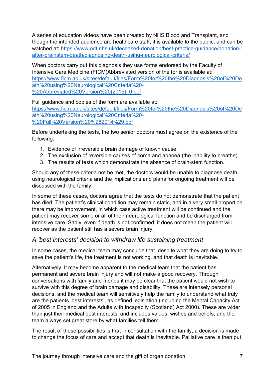A series of education videos have been created by NHS Blood and Transplant, and though the intended audience are healthcare staff, it is available to the public, and can be watched at: [https://www.odt.nhs.uk/deceased-donation/best-practice-guidance/donation](https://www.odt.nhs.uk/deceased-donation/best-practice-guidance/donation-after-brainstem-death/diagnosing-death-using-neurological-criteria/)[after-brainstem-death/diagnosing-death-using-neurological-criteria/](https://www.odt.nhs.uk/deceased-donation/best-practice-guidance/donation-after-brainstem-death/diagnosing-death-using-neurological-criteria/)

When doctors carry out this diagnosis they use forms endorsed by the Faculty of Intensive Care Medicine (FICM)Abbreviated version of the for is available at: [https://www.ficm.ac.uk/sites/default/files/Form%20for%20the%20Diagnosis%20of%20De](https://www.ficm.ac.uk/sites/default/files/Form%20for%20the%20Diagnosis%20of%20Death%20using%20Neurological%20Criteria%20-%20Abbreviated%20Version%20(2015)_0.pdf) [ath%20using%20Neurological%20Criteria%20-](https://www.ficm.ac.uk/sites/default/files/Form%20for%20the%20Diagnosis%20of%20Death%20using%20Neurological%20Criteria%20-%20Abbreviated%20Version%20(2015)_0.pdf) [%20Abbreviated%20Version%20\(2015\)\\_0.pdf](https://www.ficm.ac.uk/sites/default/files/Form%20for%20the%20Diagnosis%20of%20Death%20using%20Neurological%20Criteria%20-%20Abbreviated%20Version%20(2015)_0.pdf)

Full guidance and copies of the form are available at: [https://www.ficm.ac.uk/sites/default/files/Form%20for%20the%20Diagnosis%20of%20De](https://www.ficm.ac.uk/sites/default/files/Form%20for%20the%20Diagnosis%20of%20Death%20using%20Neurological%20Criteria%20-%20Full%20Version%20%282014%29.pdf) [ath%20using%20Neurological%20Criteria%20-](https://www.ficm.ac.uk/sites/default/files/Form%20for%20the%20Diagnosis%20of%20Death%20using%20Neurological%20Criteria%20-%20Full%20Version%20%282014%29.pdf) [%20Full%20Version%20%282014%29.pdf](https://www.ficm.ac.uk/sites/default/files/Form%20for%20the%20Diagnosis%20of%20Death%20using%20Neurological%20Criteria%20-%20Full%20Version%20%282014%29.pdf)

Before undertaking the tests, the two senior doctors must agree on the existence of the following:

- 1. Evidence of irreversible brain damage of known cause.
- 2. The exclusion of reversible causes of coma and apnoea (the inability to breathe).
- 3. The results of tests which demonstrate the absence of brain-stem function.

Should any of these criteria not be met, the doctors would be unable to diagnose death using neurological criteria and the implications and plans for ongoing treatment will be discussed with the family.

In some of these cases, doctors agree that the tests do not demonstrate that the patient has died. The patient's clinical condition may remain static, and in a very small proportion there may be improvement, in which case active treatment will be continued and the patient may recover some or all of their neurological function and be discharged from intensive care. Sadly, even if death is not confirmed, it does not mean the patient will recover as the patient still has a severe brain injury.

#### *A 'best interests' decision to withdraw life sustaining treatment*

In some cases, the medical team may conclude that, despite what they are doing to try to save the patient's life, the treatment is not working, and that death is inevitable.

Alternatively, it may become apparent to the medical team that the patient has permanent and severe brain injury and will not make a good recovery. Through conversations with family and friends it may be clear that the patient would not wish to survive with this degree of brain damage and disability. These are intensely personal decisions, and the medical team will sensitively help the family to understand what truly are the patients 'best interests', as defined legislation (including the Mental Capacity Act of 2005 in England and the Adults with Incapacity (Scotland) Act 2000). These are wider than just their medical best interests, and includes values, wishes and beliefs, and the team always set great store by what families tell them.

The result of these possibilities is that in consultation with the family, a decision is made to change the focus of care and accept that death is inevitable. Palliative care is then put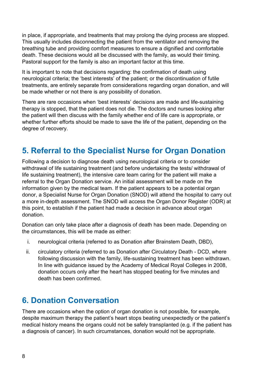in place, if appropriate, and treatments that may prolong the dying process are stopped. This usually includes disconnecting the patient from the ventilator and removing the breathing tube and providing comfort measures to ensure a dignified and comfortable death. These decisions would all be discussed with the family, as would their timing. Pastoral support for the family is also an important factor at this time.

It is important to note that decisions regarding: the confirmation of death using neurological criteria; the 'best interests' of the patient; or the discontinuation of futile treatments, are entirely separate from considerations regarding organ donation, and will be made whether or not there is any possibility of donation.

There are rare occasions when 'best interests' decisions are made and life-sustaining therapy is stopped, that the patient does not die. The doctors and nurses looking after the patient will then discuss with the family whether end of life care is appropriate, or whether further efforts should be made to save the life of the patient, depending on the degree of recovery.

## **5. Referral to the Specialist Nurse for Organ Donation**

Following a decision to diagnose death using neurological criteria or to consider withdrawal of life sustaining treatment (and before undertaking the tests/ withdrawal of life sustaining treatment), the intensive care team caring for the patient will make a referral to the Organ Donation service. An initial assessment will be made on the information given by the medical team. If the patient appears to be a potential organ donor, a Specialist Nurse for Organ Donation (SNOD) will attend the hospital to carry out a more in-depth assessment. The SNOD will access the Organ Donor Register (ODR) at this point, to establish if the patient had made a decision in advance about organ donation.

Donation can only take place after a diagnosis of death has been made. Depending on the circumstances, this will be made as either:

- i. neurological criteria (referred to as Donation after Brainstem Death, DBD),
- ii. circulatory criteria (referred to as Donation after Circulatory Death DCD, where following discussion with the family, life-sustaining treatment has been withdrawn. In line with guidance issued by the Academy of Medical Royal Colleges in 2008, donation occurs only after the heart has stopped beating for five minutes and death has been confirmed.

#### **6. Donation Conversation**

There are occasions when the option of organ donation is not possible, for example, despite maximum therapy the patient's heart stops beating unexpectedly or the patient's medical history means the organs could not be safely transplanted (e.g. if the patient has a diagnosis of cancer). In such circumstances, donation would not be appropriate.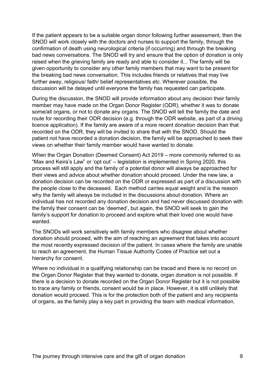If the patient appears to be a suitable organ donor following further assessment, then the SNOD will work closely with the doctors and nurses to support the family, through the confirmation of death using neurological criteria (if occurring) and through the breaking bad news conversations. The SNOD will try and ensure that the option of donation is only raised when the grieving family are ready and able to consider it... The family will be given opportunity to consider any other family members that may want to be present for the breaking bad news conversation. This includes friends or relatives that may live further away, religious/ faith/ belief representatives etc. Wherever possible, the discussion will be delayed until everyone the family has requested can participate.

During the discussion, the SNOD will provide information about any decision their family member may have made on the Organ Donor Register (ODR), whether it was to donate some/all organs, or not to donate any organs. The SNOD will tell the family the date and route for recording their ODR decision (e.g. through the ODR website, as part of a driving licence application). If the family are aware of a more recent donation decision than that recorded on the ODR, they will be invited to share that with the SNOD. Should the patient not have recorded a donation decision, the family will be approached to seek their views on whether their family member would have wanted to donate.

When the Organ Donation (Deemed Consent) Act 2019 – more commonly referred to as "Max and Keira's Law" or 'opt out' – legislation is implemented in Spring 2020, this process will still apply and the family of a potential donor will always be approached for their views and advice about whether donation should proceed. Under the new law, a donation decision can be recorded on the ODR or expressed as part of a discussion with the people close to the deceased. Each method carries equal weight and is the reason why the family will always be included in the discussions about donation. Where an individual has not recorded any donation decision and had never discussed donation with the family their consent can be 'deemed', but again, the SNOD will seek to gain the family's support for donation to proceed and explore what their loved one would have wanted.

The SNODs will work sensitively with family members who disagree about whether donation should proceed, with the aim of reaching an agreement that takes into account the most recently expressed decision of the patient. In cases where the family are unable to reach an agreement, the Human Tissue Authority Codes of Practice set out a hierarchy for consent.

Where no individual in a qualifying relationship can be traced and there is no record on the Organ Donor Register that they wanted to donate, organ donation is not possible. If there is a decision to donate recorded on the Organ Donor Register but it is not possible to trace any family or friends, consent would be in place. However, it is still unlikely that donation would proceed. This is for the protection both of the patient and any recipients of organs, as the family play a key part in providing the team with medical information.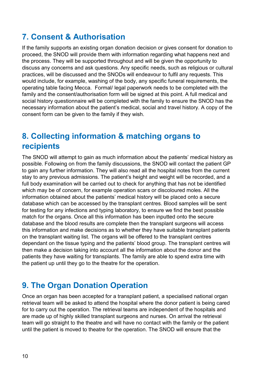## **7. Consent & Authorisation**

If the family supports an existing organ donation decision or gives consent for donation to proceed, the SNOD will provide them with information regarding what happens next and the process. They will be supported throughout and will be given the opportunity to discuss any concerns and ask questions. Any specific needs, such as religious or cultural practices, will be discussed and the SNODs will endeavour to fulfil any requests. This would include, for example, washing of the body, any specific funeral requirements, the operating table facing Mecca. Formal/ legal paperwork needs to be completed with the family and the consent/authorisation form will be signed at this point. A full medical and social history questionnaire will be completed with the family to ensure the SNOD has the necessary information about the patient's medical, social and travel history. A copy of the consent form can be given to the family if they wish.

#### **8. Collecting information & matching organs to recipients**

The SNOD will attempt to gain as much information about the patients' medical history as possible. Following on from the family discussions, the SNOD will contact the patient GP to gain any further information. They will also read all the hospital notes from the current stay to any previous admissions. The patient's height and weight will be recorded, and a full body examination will be carried out to check for anything that has not be identified which may be of concern, for example operation scars or discoloured moles. All the information obtained about the patients' medical history will be placed onto a secure database which can be accessed by the transplant centres. Blood samples will be sent for testing for any infections and typing laboratory, to ensure we find the best possible match for the organs. Once all this information has been inputted onto the secure database and the blood results are complete then the transplant surgeons will access this information and make decisions as to whether they have suitable transplant patients on the transplant waiting list. The organs will be offered to the transplant centres dependant on the tissue typing and the patients' blood group. The transplant centres will then make a decision taking into account all the information about the donor and the patients they have waiting for transplants. The family are able to spend extra time with the patient up until they go to the theatre for the operation.

#### **9. The Organ Donation Operation**

Once an organ has been accepted for a transplant patient, a specialised national organ retrieval team will be asked to attend the hospital where the donor patient is being cared for to carry out the operation. The retrieval teams are independent of the hospitals and are made up of highly skilled transplant surgeons and nurses. On arrival the retrieval team will go straight to the theatre and will have no contact with the family or the patient until the patient is moved to theatre for the operation. The SNOD will ensure that the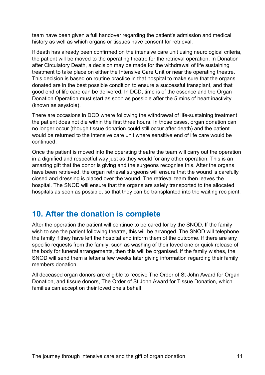team have been given a full handover regarding the patient's admission and medical history as well as which organs or tissues have consent for retrieval.

If death has already been confirmed on the intensive care unit using neurological criteria, the patient will be moved to the operating theatre for the retrieval operation. In Donation after Circulatory Death, a decision may be made for the withdrawal of life sustaining treatment to take place on either the Intensive Care Unit or near the operating theatre. This decision is based on routine practice in that hospital to make sure that the organs donated are in the best possible condition to ensure a successful transplant, and that good end of life care can be delivered. In DCD, time is of the essence and the Organ Donation Operation must start as soon as possible after the 5 mins of heart inactivity (known as asystole).

There are occasions in DCD where following the withdrawal of life-sustaining treatment the patient does not die within the first three hours. In those cases, organ donation can no longer occur (though tissue donation could still occur after death) and the patient would be returned to the intensive care unit where sensitive end of life care would be continued.

Once the patient is moved into the operating theatre the team will carry out the operation in a dignified and respectful way just as they would for any other operation. This is an amazing gift that the donor is giving and the surgeons recognise this. After the organs have been retrieved, the organ retrieval surgeons will ensure that the wound is carefully closed and dressing is placed over the wound. The retrieval team then leaves the hospital. The SNOD will ensure that the organs are safely transported to the allocated hospitals as soon as possible, so that they can be transplanted into the waiting recipient.

#### **10. After the donation is complete**

After the operation the patient will continue to be cared for by the SNOD. If the family wish to see the patient following theatre, this will be arranged. The SNOD will telephone the family if they have left the hospital and inform them of the outcome. If there are any specific requests from the family, such as washing of their loved one or quick release of the body for funeral arrangements, then this will be organised. If the family wishes, the SNOD will send them a letter a few weeks later giving information regarding their family members donation.

All deceased organ donors are eligible to receive The Order of St John Award for Organ Donation, and tissue donors, The Order of St John Award for Tissue Donation, which families can accept on their loved one's behalf.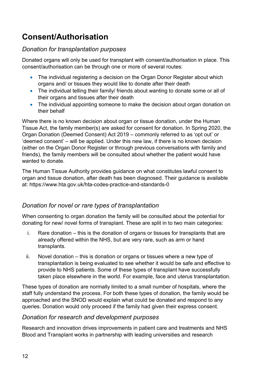# **Consent/Authorisation**

#### *Donation for transplantation purposes*

Donated organs will only be used for transplant with consent/authorisation in place. This consent/authorisation can be through one or more of several routes:

- The individual registering a decision on the Organ Donor Register about which organs and/ or tissues they would like to donate after their death
- The individual telling their family/ friends about wanting to donate some or all of their organs and tissues after their death
- The individual appointing someone to make the decision about organ donation on their behalf

Where there is no known decision about organ or tissue donation, under the Human Tissue Act, the family member(s) are asked for consent for donation. In Spring 2020, the Organ Donation (Deemed Consent) Act 2019 – commonly referred to as 'opt out' or 'deemed consent' – will be applied. Under this new law, if there is no known decision (either on the Organ Donor Register or through previous conversations with family and friends), the family members will be consulted about whether the patient would have wanted to donate

The Human Tissue Authority provides guidance on what constitutes lawful consent to organ and tissue donation, after death has been diagnosed. Their guidance is available at: https://www.hta.gov.uk/hta-codes-practice-and-standards-0

#### *Donation for novel or rare types of transplantation*

When consenting to organ donation the family will be consulted about the potential for donating for new/ novel forms of transplant. These are split in to two main categories:

- i. Rare donation this is the donation of organs or tissues for transplants that are already offered within the NHS, but are very rare, such as arm or hand transplants.
- ii. Novel donation this is donation or organs or tissues where a new type of transplantation is being evaluated to see whether it would be safe and effective to provide to NHS patients. Some of these types of transplant have successfully taken place elsewhere in the world. For example, face and uterus transplantation.

These types of donation are normally limited to a small number of hospitals, where the staff fully understand the process. For both these types of donation, the family would be approached and the SNOD would explain what could be donated and respond to any queries. Donation would only proceed if the family had given their express consent.

#### *Donation for research and development purposes*

Research and innovation drives improvements in patient care and treatments and NHS Blood and Transplant works in partnership with leading universities and research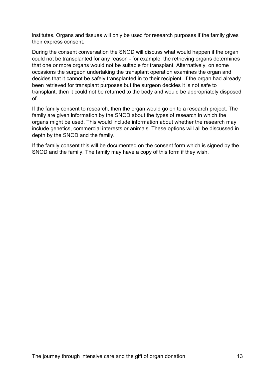institutes. Organs and tissues will only be used for research purposes if the family gives their express consent.

During the consent conversation the SNOD will discuss what would happen if the organ could not be transplanted for any reason - for example, the retrieving organs determines that one or more organs would not be suitable for transplant. Alternatively, on some occasions the surgeon undertaking the transplant operation examines the organ and decides that it cannot be safely transplanted in to their recipient. If the organ had already been retrieved for transplant purposes but the surgeon decides it is not safe to transplant, then it could not be returned to the body and would be appropriately disposed of.

If the family consent to research, then the organ would go on to a research project. The family are given information by the SNOD about the types of research in which the organs might be used. This would include information about whether the research may include genetics, commercial interests or animals. These options will all be discussed in depth by the SNOD and the family.

If the family consent this will be documented on the consent form which is signed by the SNOD and the family. The family may have a copy of this form if they wish.